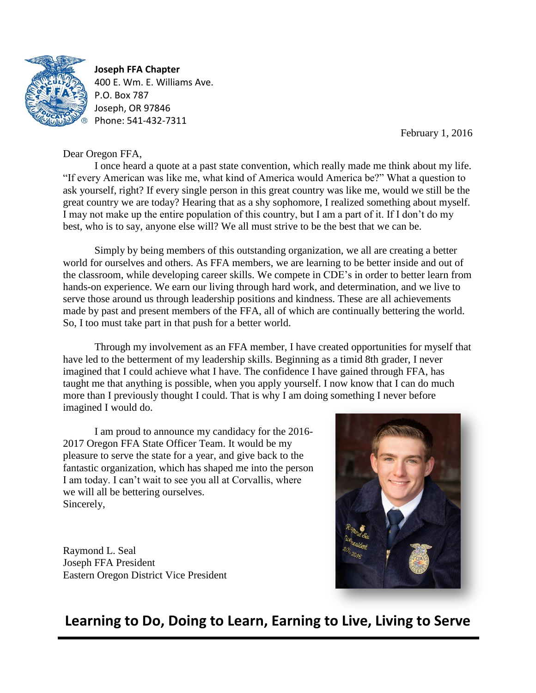

**Joseph FFA Chapter** 400 E. Wm. E. Williams Ave. P.O. Box 787 Joseph, OR 97846 Phone: 541-432-7311

February 1, 2016

# Dear Oregon FFA,

I once heard a quote at a past state convention, which really made me think about my life. "If every American was like me, what kind of America would America be?" What a question to ask yourself, right? If every single person in this great country was like me, would we still be the great country we are today? Hearing that as a shy sophomore, I realized something about myself. I may not make up the entire population of this country, but I am a part of it. If I don't do my best, who is to say, anyone else will? We all must strive to be the best that we can be.

Simply by being members of this outstanding organization, we all are creating a better world for ourselves and others. As FFA members, we are learning to be better inside and out of the classroom, while developing career skills. We compete in CDE's in order to better learn from hands-on experience. We earn our living through hard work, and determination, and we live to serve those around us through leadership positions and kindness. These are all achievements made by past and present members of the FFA, all of which are continually bettering the world. So, I too must take part in that push for a better world.

Through my involvement as an FFA member, I have created opportunities for myself that have led to the betterment of my leadership skills. Beginning as a timid 8th grader, I never imagined that I could achieve what I have. The confidence I have gained through FFA, has taught me that anything is possible, when you apply yourself. I now know that I can do much more than I previously thought I could. That is why I am doing something I never before imagined I would do.

I am proud to announce my candidacy for the 2016- 2017 Oregon FFA State Officer Team. It would be my pleasure to serve the state for a year, and give back to the fantastic organization, which has shaped me into the person I am today. I can't wait to see you all at Corvallis, where we will all be bettering ourselves. Sincerely,

Raymond L. Seal Joseph FFA President Eastern Oregon District Vice President



# **Learning to Do, Doing to Learn, Earning to Live, Living to Serve**